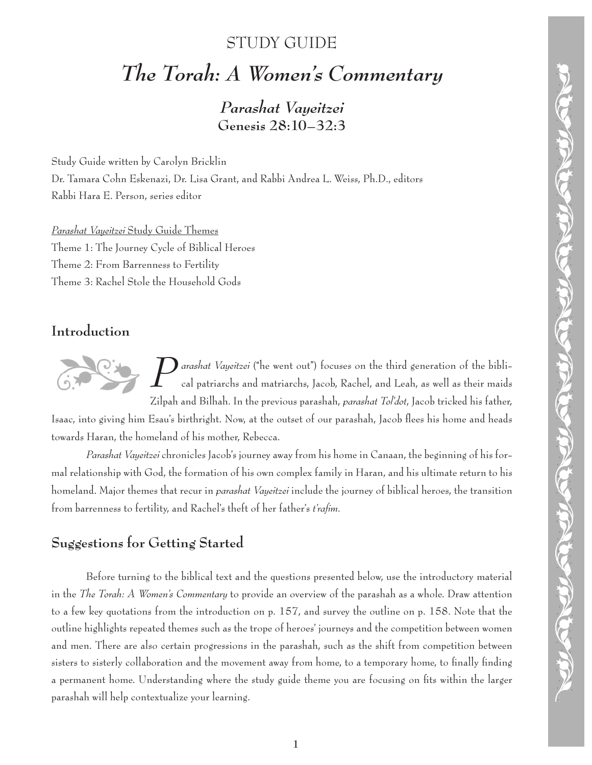## STUDY GUIDE

# *The Torah: A Women's Commentary*

*Parashat Vayeitzei* **Genesis 28:10–32:3**

Study Guide written by Carolyn Bricklin Dr. Tamara Cohn Eskenazi, Dr. Lisa Grant, and Rabbi Andrea L. Weiss, Ph.D., editors Rabbi Hara E. Person, series editor

*Parashat Vayeitzei* Study Guide Themes Theme 1: The Journey Cycle of Biblical Heroes Theme 2: From Barrenness to Fertility Theme 3: Rachel Stole the Household Gods

#### **Introduction**

*P* arashat Vayeitzei ("he went out") focuses on the third generation of the bibli-<br>cal patriarchs and matriarchs, Jacob, Rachel, and Leah, as well as their maids cal patriarchs and matriarchs, Jacob, Rachel, and Leah, as well as their maids Zilpah and Bilhah. In the previous parashah, *parashat Tol'dot*, Jacob tricked his father,

Isaac, into giving him Esau's birthright. Now, at the outset of our parashah, Jacob flees his home and heads towards Haran, the homeland of his mother, Rebecca.

*Parashat Vayeitzei* chronicles Jacob's journey away from his home in Canaan, the beginning of his formal relationship with God, the formation of his own complex family in Haran, and his ultimate return to his homeland. Major themes that recur in *parashat Vayeitzei* include the journey of biblical heroes, the transition from barrenness to fertility, and Rachel's theft of her father's *t'rafim.*

## **Suggestions for Getting Started**

Before turning to the biblical text and the questions presented below, use the introductory material in the *The Torah: A Women's Commentary* to provide an overview of the parashah as a whole. Draw attention to a few key quotations from the introduction on p. 157, and survey the outline on p. 158. Note that the outline highlights repeated themes such as the trope of heroes' journeys and the competition between women and men. There are also certain progressions in the parashah, such as the shift from competition between sisters to sisterly collaboration and the movement away from home, to a temporary home, to finally finding a permanent home. Understanding where the study guide theme you are focusing on fits within the larger parashah will help contextualize your learning.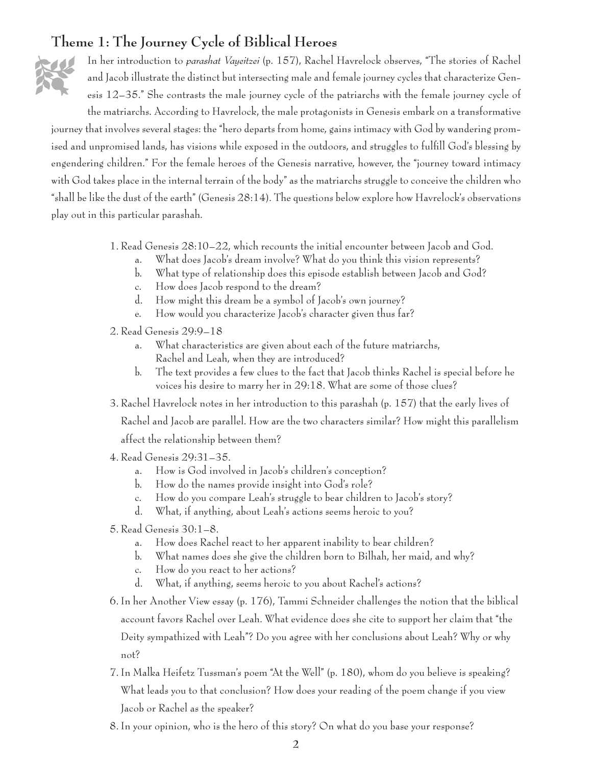#### **Theme 1: The Journey Cycle of Biblical Heroes**



In her introduction to *parashat Vayeitzei* (p. 157), Rachel Havrelock observes, "The stories of Rachel and Jacob illustrate the distinct but intersecting male and female journey cycles that characterize Genesis 12–35." She contrasts the male journey cycle of the patriarchs with the female journey cycle of the matriarchs. According to Havrelock, the male protagonists in Genesis embark on a transformative

journey that involves several stages: the "hero departs from home, gains intimacy with God by wandering promised and unpromised lands, has visions while exposed in the outdoors, and struggles to fulfill God's blessing by engendering children." For the female heroes of the Genesis narrative, however, the "journey toward intimacy with God takes place in the internal terrain of the body" as the matriarchs struggle to conceive the children who "shall be like the dust of the earth" (Genesis 28:14). The questions below explore how Havrelock's observations play out in this particular parashah.

- 1. Read Genesis 28:10–22, which recounts the initial encounter between Jacob and God.
	- a. What does Jacob's dream involve? What do you think this vision represents?
	- b. What type of relationship does this episode establish between Jacob and God?
	- c. How does Jacob respond to the dream?
	- d. How might this dream be a symbol of Jacob's own journey?
	- e. How would you characterize Jacob's character given thus far?
- 2. Read Genesis 29:9–18
	- a. What characteristics are given about each of the future matriarchs, Rachel and Leah, when they are introduced?
	- b. The text provides a few clues to the fact that Jacob thinks Rachel is special before he voices his desire to marry her in 29:18. What are some of those clues?
- 3. Rachel Havrelock notes in her introduction to this parashah (p. 157) that the early lives of

Rachel and Jacob are parallel. How are the two characters similar? How might this parallelism affect the relationship between them?

- 4. Read Genesis 29:31–35.
	- a. How is God involved in Jacob's children's conception?
	- b. How do the names provide insight into God's role?
	- c. How do you compare Leah's struggle to bear children to Jacob's story?
	- d. What, if anything, about Leah's actions seems heroic to you?
- 5. Read Genesis 30:1–8.
	- a. How does Rachel react to her apparent inability to bear children?
	- b. What names does she give the children born to Bilhah, her maid, and why?
	- c. How do you react to her actions?
	- d. What, if anything, seems heroic to you about Rachel's actions?
- 6. In her Another View essay (p. 176), Tammi Schneider challenges the notion that the biblical account favors Rachel over Leah. What evidence does she cite to support her claim that "the Deity sympathized with Leah"? Do you agree with her conclusions about Leah? Why or why not?
- 7. In Malka Heifetz Tussman's poem "At the Well" (p. 180), whom do you believe is speaking? What leads you to that conclusion? How does your reading of the poem change if you view Jacob or Rachel as the speaker?
- 8. In your opinion, who is the hero of this story? On what do you base your response?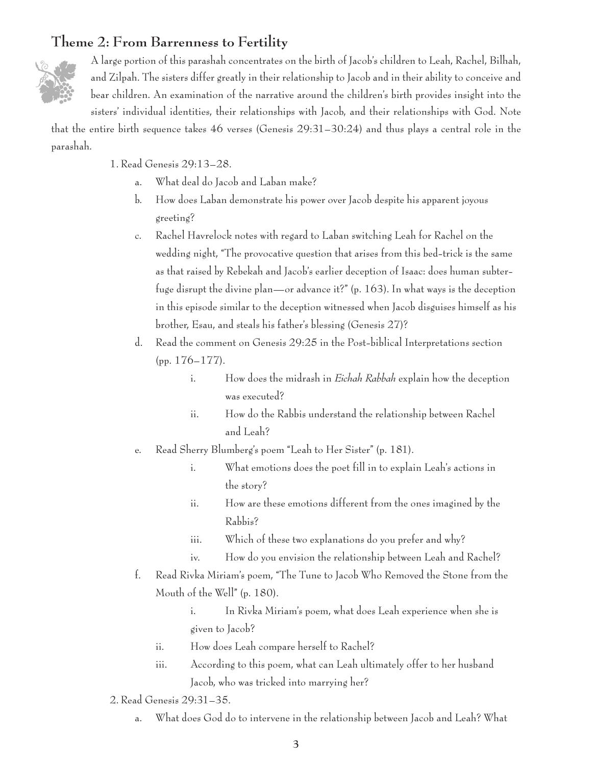### **Theme 2: From Barrenness to Fertility**



A large portion of this parashah concentrates on the birth of Jacob's children to Leah, Rachel, Bilhah, and Zilpah. The sisters differ greatly in their relationship to Jacob and in their ability to conceive and bear children. An examination of the narrative around the children's birth provides insight into the sisters' individual identities, their relationships with Jacob, and their relationships with God. Note

that the entire birth sequence takes 46 verses (Genesis 29:31–30:24) and thus plays a central role in the parashah.

1. Read Genesis 29:13–28.

- a. What deal do Jacob and Laban make?
- b. How does Laban demonstrate his power over Jacob despite his apparent joyous greeting?
- c. Rachel Havrelock notes with regard to Laban switching Leah for Rachel on the wedding night, "The provocative question that arises from this bed-trick is the same as that raised by Rebekah and Jacob's earlier deception of Isaac: does human subterfuge disrupt the divine plan—or advance it?" (p. 163). In what ways is the deception in this episode similar to the deception witnessed when Jacob disguises himself as his brother, Esau, and steals his father's blessing (Genesis 27)?
- d. Read the comment on Genesis 29:25 in the Post-biblical Interpretations section (pp. 176–177).
	- i. How does the midrash in *Eichah Rabbah* explain how the deception was executed?
	- ii. How do the Rabbis understand the relationship between Rachel and Leah?
- e. Read Sherry Blumberg's poem "Leah to Her Sister" (p. 181).
	- i. What emotions does the poet fill in to explain Leah's actions in the story?
	- ii. How are these emotions different from the ones imagined by the Rabbis?
	- iii. Which of these two explanations do you prefer and why?
	- iv. How do you envision the relationship between Leah and Rachel?
- f. Read Rivka Miriam's poem, "The Tune to Jacob Who Removed the Stone from the Mouth of the Well" (p. 180).

 i. In Rivka Miriam's poem, what does Leah experience when she is given to Jacob?

- ii. How does Leah compare herself to Rachel?
- iii. According to this poem, what can Leah ultimately offer to her husband Jacob, who was tricked into marrying her?
- 2. Read Genesis 29:31–35.
	- a. What does God do to intervene in the relationship between Jacob and Leah? What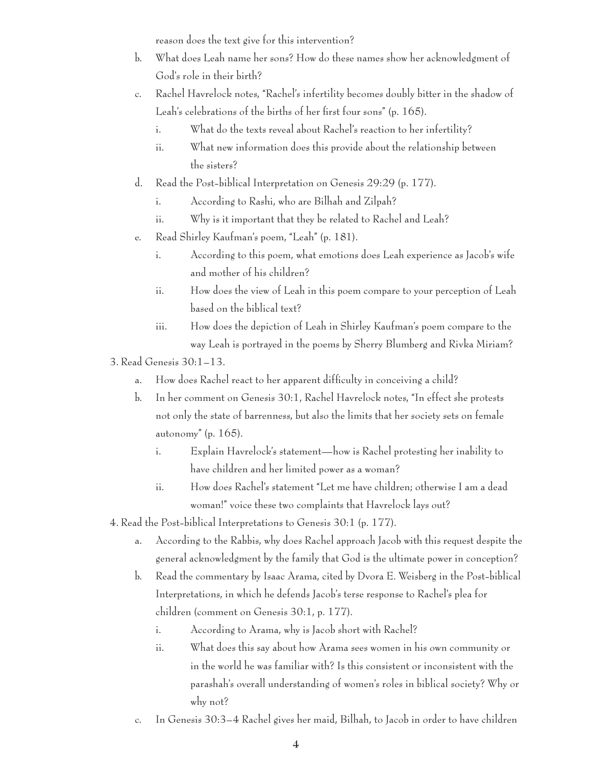reason does the text give for this intervention?

- b. What does Leah name her sons? How do these names show her acknowledgment of God's role in their birth?
- c. Rachel Havrelock notes, "Rachel's infertility becomes doubly bitter in the shadow of Leah's celebrations of the births of her first four sons" (p. 165).
	- i. What do the texts reveal about Rachel's reaction to her infertility?
	- ii. What new information does this provide about the relationship between the sisters?
- d. Read the Post-biblical Interpretation on Genesis 29:29 (p. 177).
	- i. According to Rashi, who are Bilhah and Zilpah?
	- ii. Why is it important that they be related to Rachel and Leah?
- e. Read Shirley Kaufman's poem, "Leah" (p. 181).
	- i. According to this poem, what emotions does Leah experience as Jacob's wife and mother of his children?
	- ii. How does the view of Leah in this poem compare to your perception of Leah based on the biblical text?
	- iii. How does the depiction of Leah in Shirley Kaufman's poem compare to the way Leah is portrayed in the poems by Sherry Blumberg and Rivka Miriam?
- 3. Read Genesis 30:1–13.
	- a. How does Rachel react to her apparent difficulty in conceiving a child?
	- b. In her comment on Genesis 30:1, Rachel Havrelock notes, "In effect she protests not only the state of barrenness, but also the limits that her society sets on female autonomy" (p. 165).
		- i. Explain Havrelock's statement—how is Rachel protesting her inability to have children and her limited power as a woman?
		- ii. How does Rachel's statement "Let me have children; otherwise I am a dead woman!" voice these two complaints that Havrelock lays out?
- 4. Read the Post-biblical Interpretations to Genesis 30:1 (p. 177).
	- a. According to the Rabbis, why does Rachel approach Jacob with this request despite the general acknowledgment by the family that God is the ultimate power in conception?
	- b. Read the commentary by Isaac Arama, cited by Dvora E. Weisberg in the Post-biblical Interpretations, in which he defends Jacob's terse response to Rachel's plea for children (comment on Genesis 30:1, p. 177).
		- i. According to Arama, why is Jacob short with Rachel?
		- ii. What does this say about how Arama sees women in his own community or in the world he was familiar with? Is this consistent or inconsistent with the parashah's overall understanding of women's roles in biblical society? Why or why not?
	- c. In Genesis 30:3–4 Rachel gives her maid, Bilhah, to Jacob in order to have children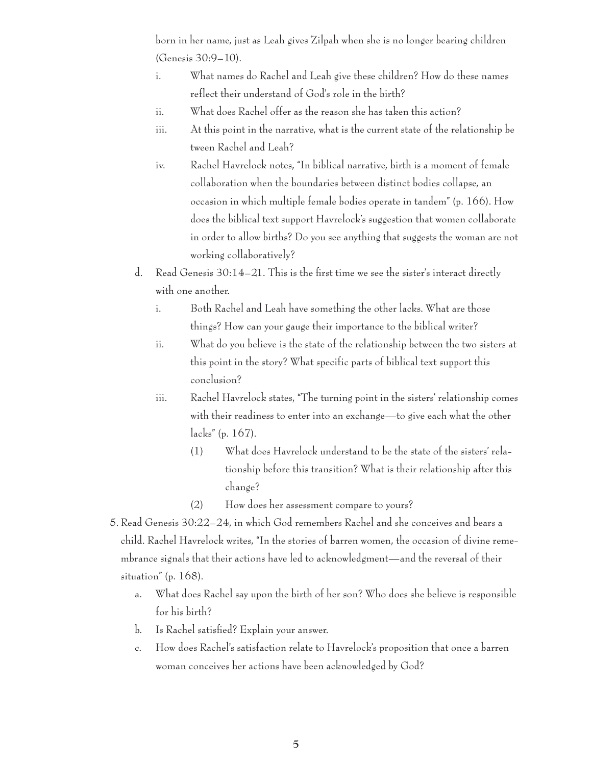born in her name, just as Leah gives Zilpah when she is no longer bearing children (Genesis 30:9–10).

- i. What names do Rachel and Leah give these children? How do these names reflect their understand of God's role in the birth?
- ii. What does Rachel offer as the reason she has taken this action?
- iii. At this point in the narrative, what is the current state of the relationship be tween Rachel and Leah?
- iv. Rachel Havrelock notes, "In biblical narrative, birth is a moment of female collaboration when the boundaries between distinct bodies collapse, an occasion in which multiple female bodies operate in tandem" (p. 166). How does the biblical text support Havrelock's suggestion that women collaborate in order to allow births? Do you see anything that suggests the woman are not working collaboratively?
- d. Read Genesis 30:14–21. This is the first time we see the sister's interact directly with one another.
	- i. Both Rachel and Leah have something the other lacks. What are those things? How can your gauge their importance to the biblical writer?
	- ii. What do you believe is the state of the relationship between the two sisters at this point in the story? What specific parts of biblical text support this conclusion?
	- iii. Rachel Havrelock states, "The turning point in the sisters' relationship comes with their readiness to enter into an exchange—to give each what the other lacks" (p. 167).
		- (1) What does Havrelock understand to be the state of the sisters' rela tionship before this transition? What is their relationship after this change?
		- (2) How does her assessment compare to yours?
- 5. Read Genesis 30:22–24, in which God remembers Rachel and she conceives and bears a child. Rachel Havrelock writes, "In the stories of barren women, the occasion of divine remembrance signals that their actions have led to acknowledgment—and the reversal of their situation" (p. 168).
	- a. What does Rachel say upon the birth of her son? Who does she believe is responsible for his birth?
	- b. Is Rachel satisfied? Explain your answer.
	- c. How does Rachel's satisfaction relate to Havrelock's proposition that once a barren woman conceives her actions have been acknowledged by God?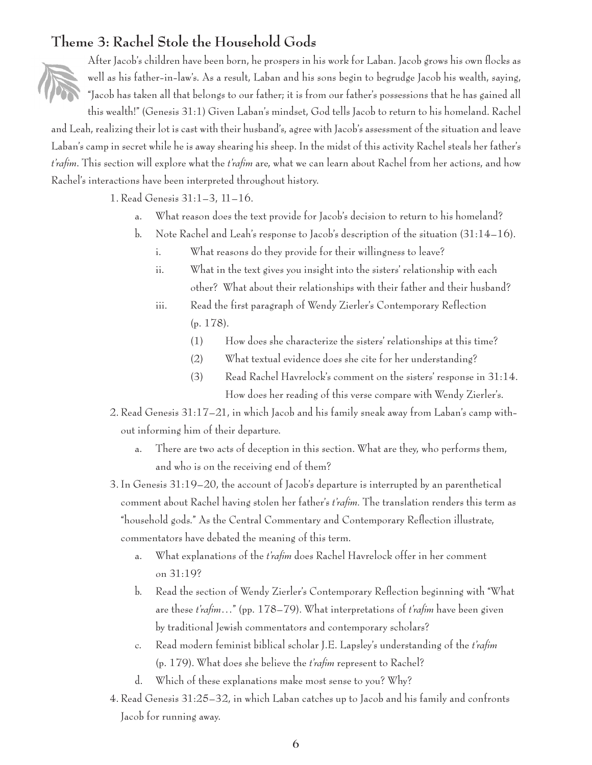#### **Theme 3: Rachel Stole the Household Gods**



After Jacob's children have been born, he prospers in his work for Laban. Jacob grows his own flocks as well as his father-in-law's. As a result, Laban and his sons begin to begrudge Jacob his wealth, saying, "Jacob has taken all that belongs to our father; it is from our father's possessions that he has gained all this wealth!" (Genesis 31:1) Given Laban's mindset, God tells Jacob to return to his homeland. Rachel

and Leah, realizing their lot is cast with their husband's, agree with Jacob's assessment of the situation and leave Laban's camp in secret while he is away shearing his sheep. In the midst of this activity Rachel steals her father's *t'rafim*. This section will explore what the *t'rafim* are, what we can learn about Rachel from her actions, and how Rachel's interactions have been interpreted throughout history.

1. Read Genesis 31:1–3, 11–16.

- a. What reason does the text provide for Jacob's decision to return to his homeland?
- b. Note Rachel and Leah's response to Jacob's description of the situation (31:14–16).
	- i. What reasons do they provide for their willingness to leave?
	- ii. What in the text gives you insight into the sisters' relationship with each other? What about their relationships with their father and their husband?
	- iii. Read the first paragraph of Wendy Zierler's Contemporary Reflection (p. 178).
		- (1) How does she characterize the sisters' relationships at this time?
		- (2) What textual evidence does she cite for her understanding?
		- (3) Read Rachel Havrelock's comment on the sisters' response in 31:14. How does her reading of this verse compare with Wendy Zierler's.
- 2. Read Genesis 31:17–21, in which Jacob and his family sneak away from Laban's camp without informing him of their departure.
	- a. There are two acts of deception in this section. What are they, who performs them, and who is on the receiving end of them?
- 3. In Genesis 31:19–20, the account of Jacob's departure is interrupted by an parenthetical comment about Rachel having stolen her father's *t'rafim.* The translation renders this term as "household gods." As the Central Commentary and Contemporary Reflection illustrate, commentators have debated the meaning of this term.
	- a. What explanations of the *t'rafim* does Rachel Havrelock offer in her comment on 31:19?
	- b. Read the section of Wendy Zierler's Contemporary Reflection beginning with "What are these *t'rafim*…" (pp. 178–79). What interpretations of *t'rafim* have been given by traditional Jewish commentators and contemporary scholars?
	- c. Read modern feminist biblical scholar J.E. Lapsley's understanding of the *t'rafim* (p. 179). What does she believe the *t'rafim* represent to Rachel?
	- d. Which of these explanations make most sense to you? Why?
- 4. Read Genesis 31:25–32, in which Laban catches up to Jacob and his family and confronts Jacob for running away.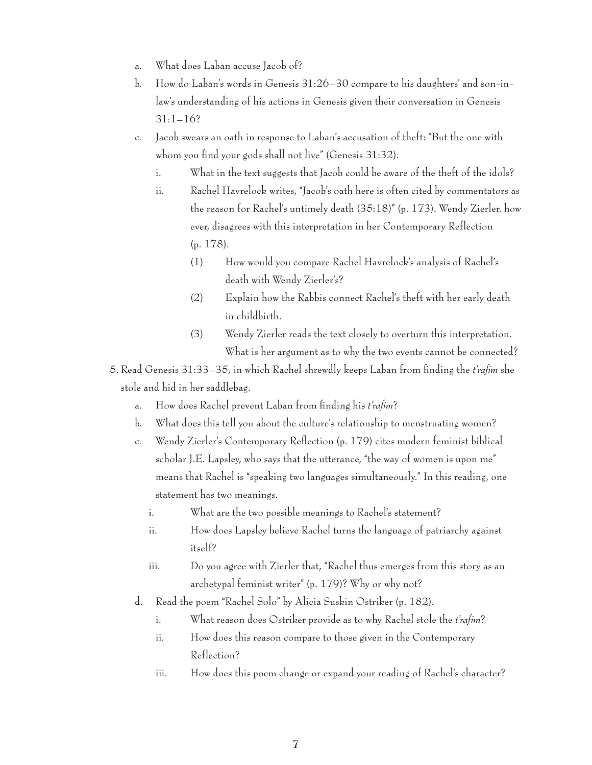- a. What does Laban accuse Jacob of?
- b. How do Laban's words in Genesis 31:26–30 compare to his daughters' and son-inlaw's understanding of his actions in Genesis given their conversation in Genesis 31:1–16?
- c. Jacob swears an oath in response to Laban's accusation of theft: "But the one with whom you find your gods shall not live" (Genesis 31:32).
	- i. What in the text suggests that Jacob could be aware of the theft of the idols?
	- ii. Rachel Havrelock writes, "Jacob's oath here is often cited by commentators as the reason for Rachel's untimely death (35:18)" (p. 173). Wendy Zierler, how ever, disagrees with this interpretation in her Contemporary Reflection (p. 178).
		- (1) How would you compare Rachel Havrelock's analysis of Rachel's death with Wendy Zierler's?
		- (2) Explain how the Rabbis connect Rachel's theft with her early death in childbirth.
		- (3) Wendy Zierler reads the text closely to overturn this interpretation. What is her argument as to why the two events cannot be connected?
- 5. Read Genesis 31:33–35, in which Rachel shrewdly keeps Laban from finding the *t'rafim* she stole and hid in her saddlebag.
	- a. How does Rachel prevent Laban from finding his *t'rafim*?
	- b. What does this tell you about the culture's relationship to menstruating women?
	- c. Wendy Zierler's Contemporary Reflection (p. 179) cites modern feminist biblical scholar J.E. Lapsley, who says that the utterance, "the way of women is upon me" means that Rachel is "speaking two languages simultaneously." In this reading, one statement has two meanings.
		- i. What are the two possible meanings to Rachel's statement?
		- ii. How does Lapsley believe Rachel turns the language of patriarchy against itself?
		- iii. Do you agree with Zierler that, "Rachel thus emerges from this story as an archetypal feminist writer" (p. 179)? Why or why not?
	- d. Read the poem "Rachel Solo" by Alicia Suskin Ostriker (p. 182).
		- i. What reason does Ostriker provide as to why Rachel stole the *t'rafim*?
		- ii. How does this reason compare to those given in the Contemporary Reflection?
		- iii. How does this poem change or expand your reading of Rachel's character?